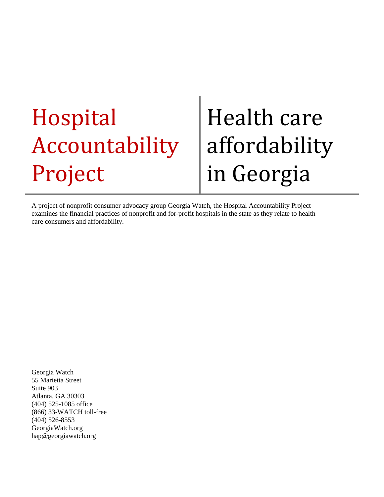## Hospital Accountability Project

# Health care affordability in Georgia

A project of nonprofit consumer advocacy group Georgia Watch, the Hospital Accountability Project examines the financial practices of nonprofit and for-profit hospitals in the state as they relate to health care consumers and affordability.

Georgia Watch 55 Marietta Street Suite 903 Atlanta, GA 30303 (404) 525-1085 office (866) 33-WATCH toll-free (404) 526-8553 GeorgiaWatch.org hap@georgiawatch.org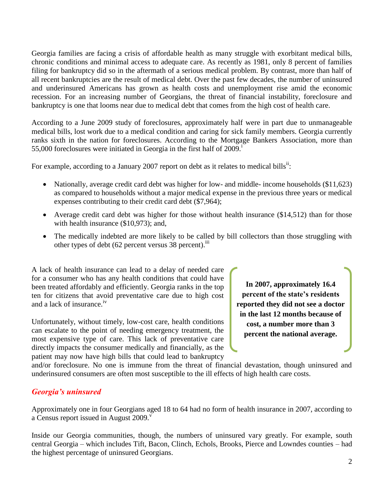Georgia families are facing a crisis of affordable health as many struggle with exorbitant medical bills, chronic conditions and minimal access to adequate care. As recently as 1981, only 8 percent of families filing for bankruptcy did so in the aftermath of a serious medical problem. By contrast, more than half of all recent bankruptcies are the result of medical debt. Over the past few decades, the number of uninsured and underinsured Americans has grown as health costs and unemployment rise amid the economic recession. For an increasing number of Georgians, the threat of financial instability, foreclosure and bankruptcy is one that looms near due to medical debt that comes from the high cost of health care.

According to a June 2009 study of foreclosures, approximately half were in part due to unmanageable medical bills, lost work due to a medical condition and caring for sick family members. Georgia currently ranks sixth in the nation for foreclosures. According to the Mortgage Bankers Association, more than 55,000 foreclosures were initiated in Georgia in the first half of  $2009$ .<sup>1</sup>

For example, according to a January 2007 report on debt as it relates to medical bills<sup>ii</sup>:

- Nationally, average credit card debt was higher for low- and middle- income households (\$11,623) as compared to households without a major medical expense in the previous three years or medical expenses contributing to their credit card debt (\$7,964);
- Average credit card debt was higher for those without health insurance (\$14,512) than for those with health insurance (\$10,973); and,
- The medically indebted are more likely to be called by bill collectors than those struggling with other types of debt (62 percent versus 38 percent).<sup>iii</sup>

A lack of health insurance can lead to a delay of needed care for a consumer who has any health conditions that could have been treated affordably and efficiently. Georgia ranks in the top ten for citizens that avoid preventative care due to high cost and a lack of insurance.iv

Unfortunately, without timely, low-cost care, health conditions can escalate to the point of needing emergency treatment, the most expensive type of care. This lack of preventative care directly impacts the consumer medically and financially, as the patient may now have high bills that could lead to bankruptcy

**In 2007, approximately 16.4 percent of the state's residents reported they did not see a doctor in the last 12 months because of cost, a number more than 3 percent the national average.**

and/or foreclosure. No one is immune from the threat of financial devastation, though uninsured and underinsured consumers are often most susceptible to the ill effects of high health care costs.

#### *Georgia's uninsured*

Approximately one in four Georgians aged 18 to 64 had no form of health insurance in 2007, according to a Census report issued in August  $2009.$ <sup>v</sup>

Inside our Georgia communities, though, the numbers of uninsured vary greatly. For example, south central Georgia – which includes Tift, Bacon, Clinch, Echols, Brooks, Pierce and Lowndes counties – had the highest percentage of uninsured Georgians.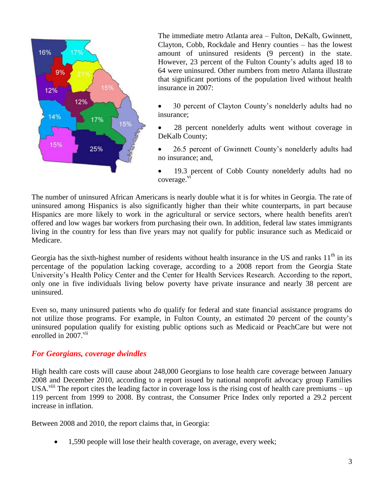

The immediate metro Atlanta area – Fulton, DeKalb, Gwinnett, Clayton, Cobb, Rockdale and Henry counties – has the lowest amount of uninsured residents (9 percent) in the state. However, 23 percent of the Fulton County's adults aged 18 to 64 were uninsured. Other numbers from metro Atlanta illustrate that significant portions of the population lived without health insurance in 2007:

- 30 percent of Clayton County's nonelderly adults had no insurance;
- 28 percent nonelderly adults went without coverage in DeKalb County;
- 26.5 percent of Gwinnett County's nonelderly adults had no insurance; and,
- 19.3 percent of Cobb County nonelderly adults had no coverage.<sup>vi</sup>

The number of uninsured African Americans is nearly double what it is for whites in Georgia. The rate of uninsured among Hispanics is also significantly higher than their white counterparts, in part because Hispanics are more likely to work in the agricultural or service sectors, where health benefits aren't offered and low wages bar workers from purchasing their own. In addition, federal law states immigrants living in the country for less than five years may not qualify for public insurance such as Medicaid or Medicare.

Georgia has the sixth-highest number of residents without health insurance in the US and ranks  $11<sup>th</sup>$  in its percentage of the population lacking coverage, according to a 2008 report from the Georgia State University's Health Policy Center and the Center for Health Services Research. According to the report, only one in five individuals living below poverty have private insurance and nearly 38 percent are uninsured.

Even so, many uninsured patients who *do* qualify for federal and state financial assistance programs do not utilize those programs. For example, in Fulton County, an estimated 20 percent of the county's uninsured population qualify for existing public options such as Medicaid or PeachCare but were not enrolled in 2007.<sup>vii</sup>

#### *For Georgians, coverage dwindles*

High health care costs will cause about 248,000 Georgians to lose health care coverage between January 2008 and December 2010, according to a report issued by national nonprofit advocacy group Families USA.<sup>viii</sup> The report cites the leading factor in coverage loss is the rising cost of health care premiums – up 119 percent from 1999 to 2008. By contrast, the Consumer Price Index only reported a 29.2 percent increase in inflation.

Between 2008 and 2010, the report claims that, in Georgia:

1,590 people will lose their health coverage, on average, every week;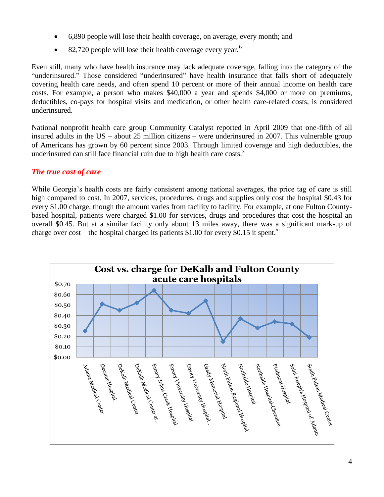- 6,890 people will lose their health coverage, on average, every month; and
- 82,720 people will lose their health coverage every year.<sup>ix</sup>

Even still, many who have health insurance may lack adequate coverage, falling into the category of the "underinsured." Those considered "underinsured" have health insurance that falls short of adequately covering health care needs, and often spend 10 percent or more of their annual income on health care costs. For example, a person who makes \$40,000 a year and spends \$4,000 or more on premiums, deductibles, co-pays for hospital visits and medication, or other health care-related costs, is considered underinsured.

National nonprofit health care group Community Catalyst reported in April 2009 that one-fifth of all insured adults in the US – about 25 million citizens – were underinsured in 2007. This vulnerable group of Americans has grown by 60 percent since 2003. Through limited coverage and high deductibles, the underinsured can still face financial ruin due to high health care costs. $^x$ 

### *The true cost of care*

While Georgia's health costs are fairly consistent among national averages, the price tag of care is still high compared to cost. In 2007, services, procedures, drugs and supplies only cost the hospital \$0.43 for every \$1.00 charge, though the amount varies from facility to facility. For example, at one Fulton Countybased hospital, patients were charged \$1.00 for services, drugs and procedures that cost the hospital an overall \$0.45. But at a similar facility only about 13 miles away, there was a significant mark-up of charge over cost – the hospital charged its patients \$1.00 for every \$0.15 it spent.<sup>xi</sup>

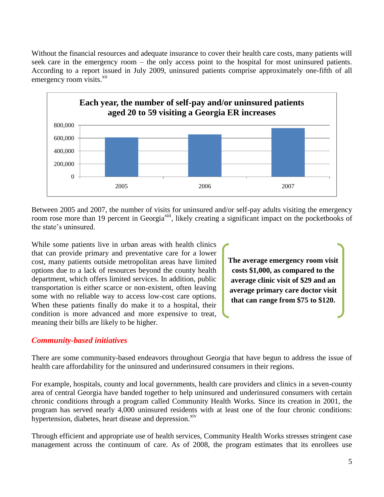Without the financial resources and adequate insurance to cover their health care costs, many patients will seek care in the emergency room – the only access point to the hospital for most uninsured patients. According to a report issued in July 2009, uninsured patients comprise approximately one-fifth of all emergency room visits.<sup>xii</sup>



Between 2005 and 2007, the number of visits for uninsured and/or self-pay adults visiting the emergency room rose more than 19 percent in Georgia<sup>xiii</sup>, likely creating a significant impact on the pocketbooks of the state's uninsured.

While some patients live in urban areas with health clinics that can provide primary and preventative care for a lower cost, many patients outside metropolitan areas have limited options due to a lack of resources beyond the county health department, which offers limited services. In addition, public transportation is either scarce or non-existent, often leaving some with no reliable way to access low-cost care options. When these patients finally do make it to a hospital, their condition is more advanced and more expensive to treat, meaning their bills are likely to be higher.

**The average emergency room visit costs \$1,000, as compared to the average clinic visit of \$29 and an average primary care doctor visit that can range from \$75 to \$120.**

#### *Community-based initiatives*

There are some community-based endeavors throughout Georgia that have begun to address the issue of health care affordability for the uninsured and underinsured consumers in their regions.

For example, hospitals, county and local governments, health care providers and clinics in a seven-county area of central Georgia have banded together to help uninsured and underinsured consumers with certain chronic conditions through a program called Community Health Works. Since its creation in 2001, the program has served nearly 4,000 uninsured residents with at least one of the four chronic conditions: hypertension, diabetes, heart disease and depression.<sup>xiv</sup>

Through efficient and appropriate use of health services, Community Health Works stresses stringent case management across the continuum of care. As of 2008, the program estimates that its enrollees use